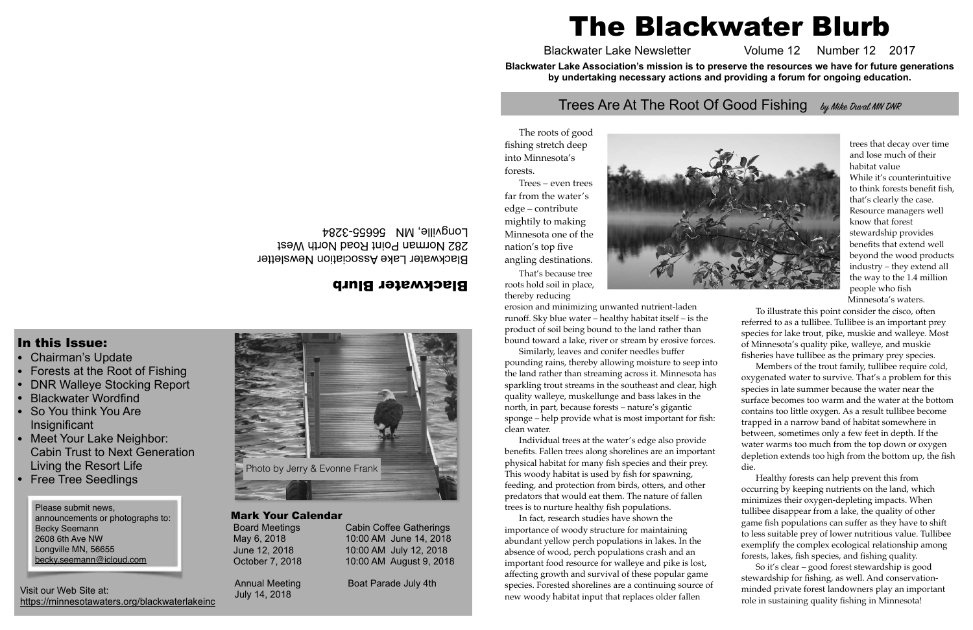#### Blackwater Blurb

Blackwater Lake Association Newsletter 282 Norman Point Road North West Longville, MN 56655-3284

In this Issue:

- Chairman's Update
- •Forests at the Root of Fishing
- •DNR Walleye Stocking Report
- •Blackwater Wordfind
- • So You think You Are **Insignificant**
- Meet Your Lake Neighbor: Cabin Trust to Next GenerationLiving the Resort Life
- •Free Tree Seedlings

#### Mark Your Calendar

 Board Meetings Cabin Coffee Gatherings May 6, 2018 10:00 AM June 14, 2018 June 12, 2018 10:00 AM July 12, 2018 October 7, 2018 10:00 AM August 9, 2018

Annual Meeting Boat Parade July 4th

July 14, 2018

The roots of good fishing stretch deep into Minnesota's forests.

Trees – even trees far from the water's edge – contribute mightily to making Minnesota one of the nation's top five angling destinations.

That's because tree roots hold soil in place, thereby reducing

erosion and minimizing unwanted nutrient-laden runoff. Sky blue water – healthy habitat itself – is the product of soil being bound to the land rather than bound toward a lake, river or stream by erosive forces.

Similarly, leaves and conifer needles buffer pounding rains, thereby allowing moisture to seep into the land rather than streaming across it. Minnesota has sparkling trout streams in the southeast and clear, high quality walleye, muskellunge and bass lakes in the north, in part, because forests – nature's gigantic sponge – help provide what is most important for fish: clean water.

Individual trees at the water's edge also provide benefits. Fallen trees along shorelines are an important physical habitat for many fish species and their prey. This woody habitat is used by fish for spawning, feeding, and protection from birds, otters, and other predators that would eat them. The nature of fallen trees is to nurture healthy fish populations.

In fact, research studies have shown the importance of woody structure for maintaining abundant yellow perch populations in lakes. In the absence of wood, perch populations crash and an important food resource for walleye and pike is lost, affecting growth and survival of these popular game species. Forested shorelines are a continuing source of new woody habitat input that replaces older fallen

trees that decay over time and lose much of their habitat valueWhile it's counterintuitive to think forests benefit fish, that's clearly the case. Resource managers well know that forest stewardship provides benefits that extend well beyond the wood products industry – they extend all the way to the 1.4 million people who fish Minnesota's waters.

To illustrate this point consider the cisco, often referred to as a tullibee. Tullibee is an important prey species for lake trout, pike, muskie and walleye. Most of Minnesota's quality pike, walleye, and muskie fisheries have tullibee as the primary prey species.

Members of the trout family, tullibee require cold, oxygenated water to survive. That's a problem for this species in late summer because the water near the surface becomes too warm and the water at the bottom contains too little oxygen. As a result tullibee become trapped in a narrow band of habitat somewhere in between, sometimes only a few feet in depth. If the water warms too much from the top down or oxygen depletion extends too high from the bottom up, the fish die.

Healthy forests can help prevent this from occurring by keeping nutrients on the land, which minimizes their oxygen-depleting impacts. When tullibee disappear from a lake, the quality of other game fish populations can suffer as they have to shift to less suitable prey of lower nutritious value. Tullibee exemplify the complex ecological relationship among forests, lakes, fish species, and fishing quality.

So it's clear – good forest stewardship is good stewardship for fishing, as well. And conservationminded private forest landowners play an important role in sustaining quality fishing in Minnesota!

# The Blackwater Blurb

Blackwater Lake Newsletter Volume 12 Number 12 2017 **Blackwater Lake Association's mission is to preserve the resources we have for future generations by undertaking necessary actions and providing a forum for ongoing education.**

#### Trees Are At The Root Of Good Fishing by Mike Duval MN DNR

Please submit news, announcements or photographs to: Becky Seemann 2608 6th Ave NW Longville MN, 56655 becky.seemann@icloud.com

Visit our Web Site at: https://minnesotawaters.org/blackwaterlakeinc



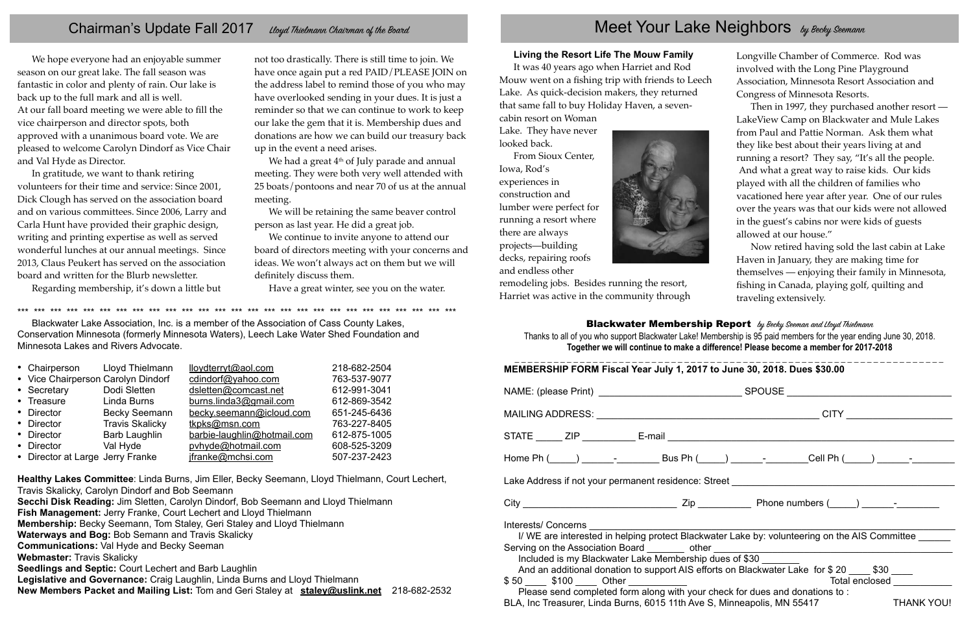## Chairman's Update Fall 2017 Lloyd Thielmann Chairman of the Board Meet Your Lake Neighbors by Becky Seemann

We hope everyone had an enjoyable summer season on our great lake. The fall season was fantastic in color and plenty of rain. Our lake is back up to the full mark and all is well. At our fall board meeting we were able to fill the vice chairperson and director spots, both approved with a unanimous board vote. We are pleased to welcome Carolyn Dindorf as Vice Chair and Val Hyde as Director.

In gratitude, we want to thank retiring volunteers for their time and service: Since 2001, Dick Clough has served on the association board and on various committees. Since 2006, Larry and Carla Hunt have provided their graphic design, writing and printing expertise as well as served wonderful lunches at our annual meetings. Since 2013, Claus Peukert has served on the association board and written for the Blurb newsletter.

We had a great  $4<sup>th</sup>$  of July parade and annual meeting. They were both very well attended with 25 boats/pontoons and near 70 of us at the annual meeting.

Regarding membership, it's down a little but

not too drastically. There is still time to join. We have once again put a red PAID/PLEASE JOIN on the address label to remind those of you who may have overlooked sending in your dues. It is just a reminder so that we can continue to work to keep our lake the gem that it is. Membership dues and donations are how we can build our treasury back up in the event a need arises.

We will be retaining the same beaver control person as last year. He did a great job.

We continue to invite anyone to attend our board of directors meeting with your concerns and ideas. We won't always act on them but we will de finitely discuss them.

Have a great winter, see you on the water.

| MEMBERSHIP FORM Fiscal Year July 1, 2017 to June 30, 2018. Dues \$30.00                                                                                                                                                                                                                                                                                                                                                                                                                                                                                                                                                                                                                                                                                                                                                                                                          |                                                                                                                                        |  |  |  |  |  |  |  |  |  |  |
|----------------------------------------------------------------------------------------------------------------------------------------------------------------------------------------------------------------------------------------------------------------------------------------------------------------------------------------------------------------------------------------------------------------------------------------------------------------------------------------------------------------------------------------------------------------------------------------------------------------------------------------------------------------------------------------------------------------------------------------------------------------------------------------------------------------------------------------------------------------------------------|----------------------------------------------------------------------------------------------------------------------------------------|--|--|--|--|--|--|--|--|--|--|
|                                                                                                                                                                                                                                                                                                                                                                                                                                                                                                                                                                                                                                                                                                                                                                                                                                                                                  | NAME: (please Print) ________________________________SPOUSE ____________________                                                       |  |  |  |  |  |  |  |  |  |  |
|                                                                                                                                                                                                                                                                                                                                                                                                                                                                                                                                                                                                                                                                                                                                                                                                                                                                                  |                                                                                                                                        |  |  |  |  |  |  |  |  |  |  |
|                                                                                                                                                                                                                                                                                                                                                                                                                                                                                                                                                                                                                                                                                                                                                                                                                                                                                  |                                                                                                                                        |  |  |  |  |  |  |  |  |  |  |
|                                                                                                                                                                                                                                                                                                                                                                                                                                                                                                                                                                                                                                                                                                                                                                                                                                                                                  | Home Ph (_____) ______- <sub>_</sub> _________ Bus Ph (_____) ______- <sub>_</sub> _______Cell Ph (_____) ______- <sub>_</sub> _______ |  |  |  |  |  |  |  |  |  |  |
| Lake Address if not your permanent residence: Street ____________________________                                                                                                                                                                                                                                                                                                                                                                                                                                                                                                                                                                                                                                                                                                                                                                                                |                                                                                                                                        |  |  |  |  |  |  |  |  |  |  |
|                                                                                                                                                                                                                                                                                                                                                                                                                                                                                                                                                                                                                                                                                                                                                                                                                                                                                  |                                                                                                                                        |  |  |  |  |  |  |  |  |  |  |
| Interests/ Concerns and the control of the control of the control of the control of the control of the control o<br>I/WE are interested in helping protect Blackwater Lake by: volunteering on the AIS Committee<br>Serving on the Association Board ________ other ________________________________<br>Included is my Blackwater Lake Membership dues of \$30<br>And an additional donation to support AIS efforts on Blackwater Lake for \$ 20 ____ \$30 ____<br>Total enclosed and the state of the state of the state of the state of the state of the state of the state of the state of the state of the state of the state of the state of the state of the state of the state of the stat<br>Please send completed form along with your check for dues and donations to:<br><b>THANK YOU!</b><br>BLA, Inc Treasurer, Linda Burns, 6015 11th Ave S, Minneapolis, MN 55417 |                                                                                                                                        |  |  |  |  |  |  |  |  |  |  |

#### **Living the Resort Life The Mouw Family**

It was 40 years ago when Harriet and Rod Mouw went on a fishing trip with friends to Leech Lake. As quick-decision makers, they returned that same fall to buy Holiday Haven, a seven-

cabin resort on Woman Lake. They have never looked back.

From Sioux Center, Iowa, Rod's experiences in construction and lumber were perfect for running a resort where there are always projects—building decks, repairing roofs and endless other



remodeling jobs. Besides running the resort, Harriet was active in the community through

#### Blackwater Membership Report by Becky Seeman and Lloyd Thielmann

Longville Chamber of Commerce. Rod was involved with the Long Pine Playground Association, Minnesota Resort Association and Congress of Minnesota Resorts.

Then in 1997, they purchased another resort — LakeView Camp on Blackwater and Mule Lakes from Paul and Pattie Norman. Ask them what they like best about their years living at and running a resort? They say, "It's all the people. And what a great way to raise kids. Our kids played with all the children of families who vacationed here year after year. One of our rules over the years was that our kids were not allowed in the guest's cabins nor were kids of guests allowed at our house."

Now retired having sold the last cabin at Lake Haven in January, they are making time for themselves — enjoying their family in Minnesota, fishing in Canada, playing golf, quilting and traveling extensively.

Thanks to all of you who support Blackwater Lake! Membership is 95 paid members for the year ending June 30, 2018. **Together we will continue to make a difference! Please become a member for 2017-2018** 

\*\*\* \*\*\* \*\*\* \*\*\* \*\*\* \*\*\* \*\*\* \*\*\* \*\*\* \*\*\* \*\*\* \*\*\* \*\*\* \*\*\* \*\*\* \*\*\* \*\*\* \*\*\* \*\*\* \*\*\* \*\*\* \*\*\* \*\*\* \*\*\* \*\*\* \*\*\* \*\*\* Blackwater Lake Association, Inc. is a member of the Association of Cass County Lakes, Conservation Minnesota (formerly Minnesota Waters), Leech Lake Water Shed Foundation and Minnesota Lakes and Rivers Advocate.

| • Chairperson                      | Lloyd Thielmann        | lloydterryt@aol.com         | 218-682-2504 |
|------------------------------------|------------------------|-----------------------------|--------------|
| • Vice Chairperson Carolyn Dindorf |                        | cdindorf@yahoo.com          | 763-537-9077 |
| • Secretary                        | Dodi Sletten           | dsletten@comcast.net        | 612-991-3041 |
| • Treasure                         | Linda Burns            | burns.linda3@gmail.com      | 612-869-3542 |
| • Director                         | <b>Becky Seemann</b>   | becky.seemann@icloud.com    | 651-245-6436 |
| • Director                         | <b>Travis Skalicky</b> | tkpks@msn.com               | 763-227-8405 |
| • Director                         | <b>Barb Laughlin</b>   | barbie-laughlin@hotmail.com | 612-875-1005 |
| • Director                         | Val Hyde               | pvhyde@hotmail.com          | 608-525-3209 |
| • Director at Large Jerry Franke   |                        | jfranke@mchsi.com           | 507-237-2423 |

**Healthy Lakes Committee**: Linda Burns, Jim Eller, Becky Seemann, Lloyd Thielmann, Court Lechert, Travis Skalicky, Carolyn Dindorf and Bob Seemann **Secchi Disk Reading:** Jim Sletten, Carolyn Dindorf, Bob Seemann and Lloyd Thielmann **Fish Management:** Jerry Franke, Court Lechert and Lloyd Thielmann **Membership:** Becky Seemann, Tom Staley, Geri Staley and Lloyd Thielmann **Waterways and Bog:** Bob Semann and Travis Skalicky **Communications:** Val Hyde and Becky Seeman **Webmaster:** Travis Skalicky **Seedlings and Septic:** Court Lechert and Barb Laughlin **Legislative and Governance:** Craig Laughlin, Linda Burns and Lloyd Thielmann **New Members Packet and Mailing List:** Tom and Geri Staley at **staley@uslink.net** 218-682-2532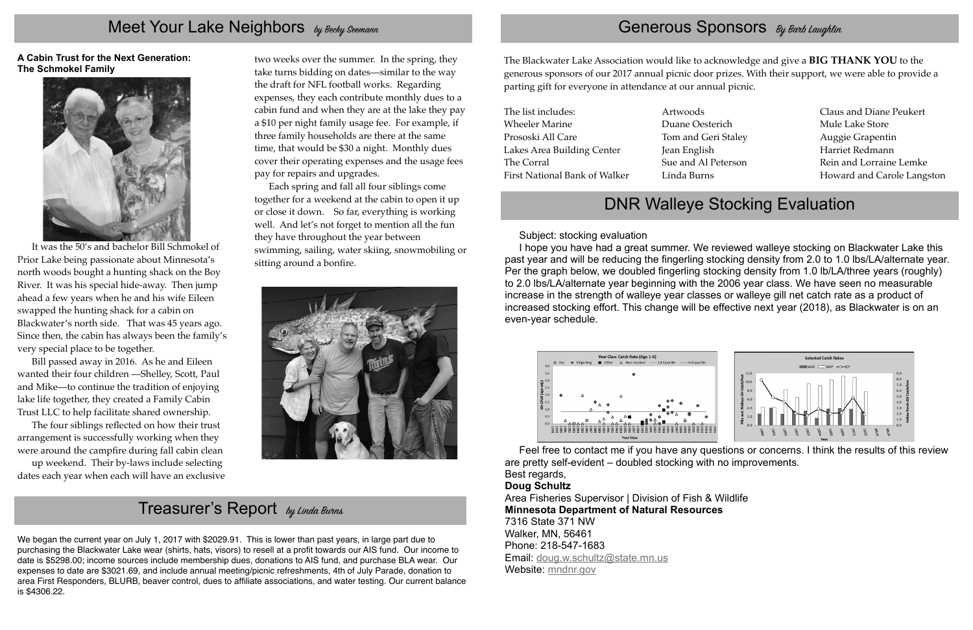Subject: stocking evaluation

I hope you have had a great summer. We reviewed walleye stocking on Blackwater Lake this past year and will be reducing the fingerling stocking density from 2.0 to 1.0 lbs/LA/alternate year. Per the graph below, we doubled fingerling stocking density from 1.0 lb/LA/three years (roughly) to 2.0 lbs/LA/alternate year beginning with the 2006 year class. We have seen no measurable increase in the strength of walleye year classes or walleye gill net catch rate as a product of increased stocking effort. This change will be effective next year (2018), as Blackwater is on an even-year schedule.



Area Fisheries Supervisor | Division of Fish & Wildlife **Minnesota Department of Natural Resources** 7316 State 371 NW Walker, MN, 56461 Phone: 218-547-1683 Email: doug.w.schultz@state.mn.us Website: mndnr.gov

Feel free to contact me if you have any questions or concerns. I think the results of this review

are pretty self-evident – doubled stocking with no improvements. Best regards,

#### **Doug Schultz**

## Meet Your Lake Neighbors by Becky Seemann

**A Cabin Trust for the Next Generation: The Schmokel Family** 



It was the 50's and bachelor Bill Schmokel of Prior Lake being passionate about Minnesota's north woods bought a hunting shack on the Boy River. It was his special hide-away. Then jump ahead a few years when he and his wife Eileen swapped the hunting shack for a cabin on Blackwater's north side. That was 45 years ago. Since then, the cabin has always been the family's very special place to be together.

Bill passed away in 2016. As he and Eileen wanted their four children —Shelley, Scott, Paul and Mike—to continue the tradition of enjoying lake life together, they created a Family Cabin Trust LLC to help facilitate shared ownership.

The four siblings re flected on how their trust arrangement is successfully working when they were around the camp fire during fall cabin clean

up weekend. Their by-laws include selecting dates each year when each will have an exclusive two weeks over the summer. In the spring, they take turns bidding on dates—similar to the way the draft for NFL football works. Regarding expenses, they each contribute monthly dues to a cabin fund and when they are at the lake they pay a \$10 per night family usage fee. For example, if three family households are there at the same time, that would be \$30 a night. Monthly dues cover their operating expenses and the usage fees pay for repairs and upgrades.

Each spring and fall all four siblings come together for a weekend at the cabin to open it up or close it down. So far, everything is working well. And let's not forget to mention all the fun they have throughout the year between swimming, sailing, water skiing, snowmobiling or sitting around a bon fire.



## Treasurer's Report by Linda Burns

We began the current year on July 1, 2017 with \$2029.91. This is lower than past years, in large part due to purchasing the Blackwater Lake wear (shirts, hats, visors) to resell at a pro fit towards our AIS fund. Our income to date is \$5298.00; income sources include membership dues, donations to AIS fund, and purchase BLA wear. Our expenses to date are \$3021.69, and include annual meeting/picnic refreshments, 4th of July Parade, donation to area First Responders, BLURB, beaver control, dues to af filiate associations, and water testing. Our current balance is \$4306.22.

## Generous Sponsors By Barb Laughlin

The Blackwater Lake Association would like to acknowledge and give a **BIG THANK YOU** to the generous sponsors of our 2017 annual picnic door prizes. With their support, we were able to provide a parting gift for everyone in attendance at our annual picnic.

The list includes:Wheeler MarinePrososki All CareLakes Area Building Center The CorralFirst National Bank of WalkerArtwoodsDuane OesterichTom and Geri Staley Jean English Sue and Al PetersonLinda Burns

Claus and Diane PeukertMule Lake StoreAuggie Grapentin Harriet RedmannRein and Lorraine LemkeHoward and Carole Langston

## DNR Walleye Stocking Evaluation